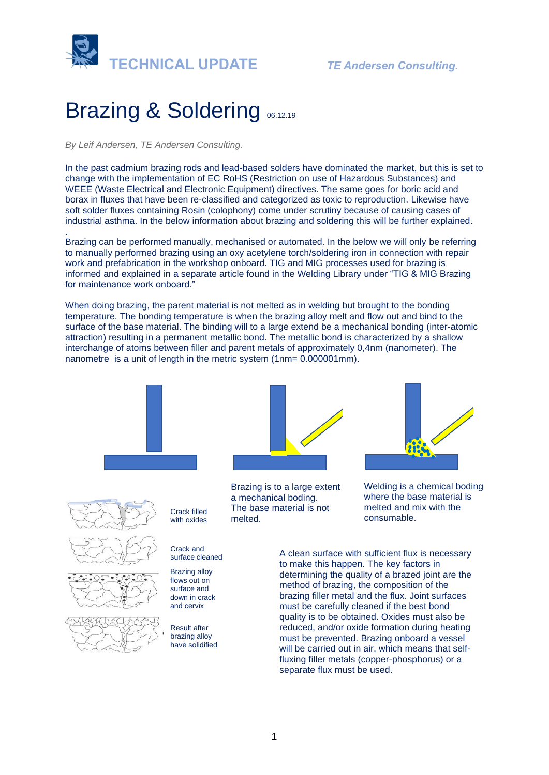

# Brazing & Soldering <sub>06.12.19</sub>

*By Leif Andersen, TE Andersen Consulting.* 

.

In the past cadmium brazing rods and lead-based solders have dominated the market, but this is set to change with the implementation of EC RoHS (Restriction on use of Hazardous Substances) and WEEE (Waste Electrical and Electronic Equipment) directives. The same goes for boric acid and borax in fluxes that have been re-classified and categorized as toxic to reproduction. Likewise have soft solder fluxes containing Rosin (colophony) come under scrutiny because of causing cases of industrial asthma. In the below information about brazing and soldering this will be further explained.

[Brazing](https://www.sciencedirect.com/topics/engineering/brazing) can be performed manually, mechanised or automated. In the below we will only be referring to manually performed brazing using an oxy acetylene torch/soldering iron in connection with repair work and prefabrication in the workshop onboard. TIG and MIG processes used for brazing is informed and explained in a separate article found in the Welding Library under "TIG & MIG Brazing for maintenance work onboard."

When doing brazing, the parent material is not melted as in welding but brought to the bonding temperature. The bonding temperature is when the brazing alloy melt and flow out and bind to the surface of the base material. The binding will to a large extend be a mechanical bonding (inter-atomic attraction) resulting in a permanent metallic bond. The metallic bond is characterized by a shallow interchange of atoms between filler and parent metals of approximately 0,4nm (nanometer). The nanometre is a [unit](https://en.wikipedia.org/wiki/Units_of_measurement) of [length](https://en.wikipedia.org/wiki/Length) in the [metric system](https://en.wikipedia.org/wiki/Metric_system) (1nm= 0.000001mm).





Brazing is to a large extent a mechanical boding. The base material is not melted.



Welding is a chemical boding where the base material is melted and mix with the consumable.

A clean surface with sufficient flux is necessary to make this happen. The key factors in determining the quality of a brazed joint are the method of [brazing,](https://www.sciencedirect.com/topics/engineering/brazing) the composition of the brazing [filler metal](https://www.sciencedirect.com/topics/engineering/filler-metal) and the flux. Joint surfaces must be carefully cleaned if the best bond quality is to be obtained. Oxides must also be reduced, and/or oxide formation during heating must be prevented. Brazing onboard a vessel will be carried out in air, which means that selffluxing [filler metals](https://www.sciencedirect.com/topics/engineering/filler-metal) (copper-phosphorus) or a separate flux must be used.







Crack and surface cleaned

Crack filled

Brazing alloy flows out on surface and down in crack and cervix

Result after brazing alloy have solidified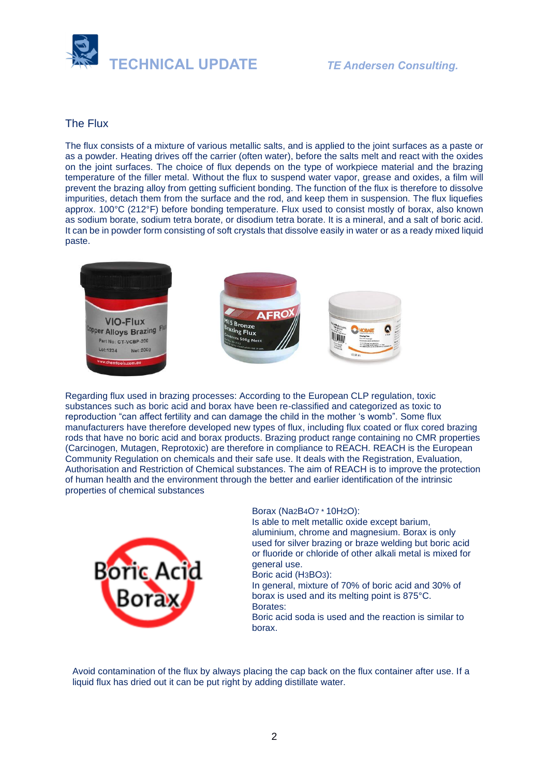

# The Flux

The flux consists of a mixture of various [metallic salts,](https://www.sciencedirect.com/topics/engineering/metallic-salt) and is applied to the joint surfaces as a paste or as a powder. Heating drives off the carrier (often water), before the salts melt and react with the oxides on the joint surfaces. The choice of flux depends on the type of workpiece material and the brazing temperature of the filler metal. Without the flux to suspend water vapor, grease and oxides, a film will prevent the brazing alloy from getting sufficient bonding. The function of the flux is therefore to dissolve impurities, detach them from the surface and the rod, and keep them in suspension. The flux liquefies approx. 100°C (212°F) before bonding temperature. Flux used to consist mostly of borax, also known as sodium borate, sodium tetra borate, or disodium tetra borate. It is a mineral, and a salt of boric acid. It can be in powder form consisting of soft crystals that dissolve easily in water or as a ready mixed liquid paste.



Regarding flux used in brazing processes: According to the European CLP regulation, toxic substances such as boric acid and borax have been re-classified and categorized as toxic to reproduction "can affect fertility and can damage the child in the mother 's womb". Some flux manufacturers have therefore developed new types of flux, including flux coated or flux cored brazing rods that have no boric acid and borax products. Brazing product range containing no CMR properties (Carcinogen, Mutagen, Reprotoxic) are therefore in compliance to REACH. REACH is the European Community Regulation on chemicals and their safe use. It deals with the Registration, Evaluation, Authorisation and Restriction of Chemical substances. The aim of REACH is to improve the protection of human health and the environment through the better and earlier identification of the intrinsic properties of chemical substances



#### Borax (Na2B4O7 \* 10H2O):

Is able to melt metallic oxide except barium, aluminium, chrome and magnesium. Borax is only used for silver brazing or braze welding but boric acid or fluoride or chloride of other alkali metal is mixed for general use.

Boric acid (H3BO3):

In general, mixture of 70% of boric acid and 30% of borax is used and its melting point is 875°C. Borates:

Boric acid soda is used and the reaction is similar to borax.

Avoid contamination of the flux by always placing the cap back on the flux container after use. If a liquid flux has dried out it can be put right by adding distillate water.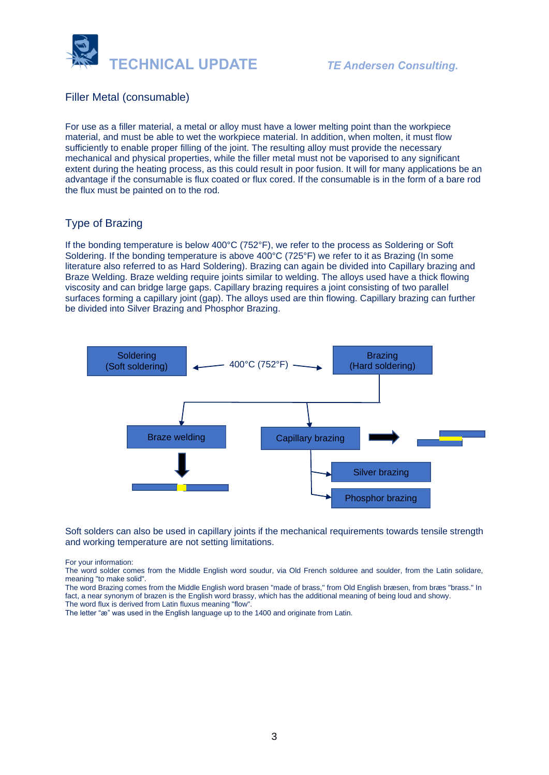

# Filler Metal (consumable)

For use as a [filler material,](https://www.sciencedirect.com/topics/engineering/filler-material) a metal or alloy must have a lower melting point than the workpiece material, and must be able to wet the workpiece material. In addition, when molten, it must flow sufficiently to enable proper filling of the joint. The resulting alloy must provide the necessary mechanical and physical properties, while the filler metal must not be vaporised to any significant extent during the [heating process,](https://www.sciencedirect.com/topics/engineering/heating-process) as this could result in poor fusion. It will for many applications be an advantage if the consumable is flux coated or flux cored. If the consumable is in the form of a bare rod the flux must be painted on to the rod.

## Type of Brazing

If the bonding temperature is below 400°C (752°F), we refer to the process as Soldering or Soft Soldering. If the bonding temperature is above 400°C (725°F) we refer to it as Brazing (In some literature also referred to as Hard Soldering). Brazing can again be divided into Capillary brazing and Braze Welding. Braze welding require joints similar to welding. The alloys used have a thick flowing viscosity and can bridge large gaps. Capillary brazing requires a joint consisting of two parallel surfaces forming a capillary joint (gap). The alloys used are thin flowing. Capillary brazing can further be divided into Silver Brazing and Phosphor Brazing.



Soft solders can also be used in capillary joints if the mechanical requirements towards tensile strength and working temperature are not setting limitations.

For your information:

The word solder comes from the Middle English word soudur, via Old French solduree and soulder, from the Latin solidare, meaning "to make solid".

The word Brazing comes from the Middle English word brasen "made of brass," from Old English bræsen, from bræs "brass." In fact, a near synonym of brazen is the English word brassy, which has the additional meaning of being loud and showy. The word flux is derived from Latin fluxus meaning "flow".

The letter "æ" was used in the English language up to the 1400 and originate from Latin.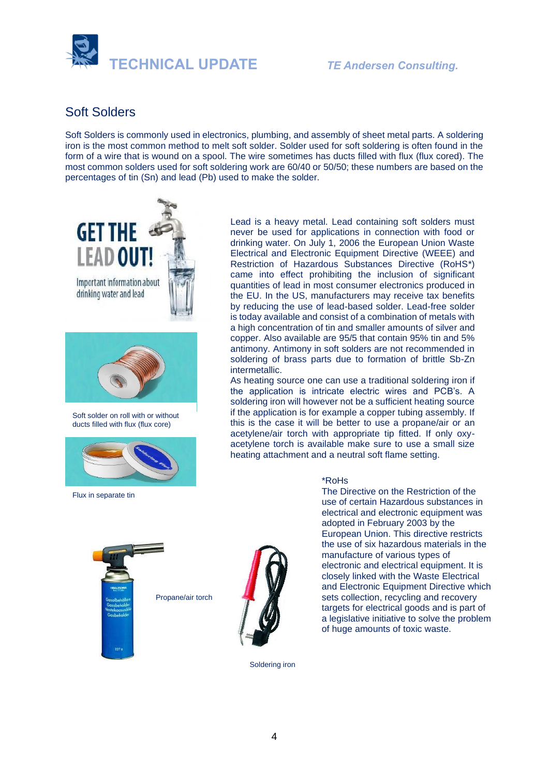

# Soft Solders

Soft Solders is commonly used in electronics, plumbing, and assembly of sheet metal parts. A soldering iron is the most common method to melt soft solder. Solder used for soft soldering is often found in the form of a wire that is wound on a spool. The wire sometimes has ducts filled with flux (flux cored). The most common solders used for soft soldering work are 60/40 or 50/50; these numbers are based on the percentages of tin (Sn) and lead (Pb) used to make the solder.



Soft solder on roll with or without ducts filled with flux (flux core)



Flux in separate tin



Lead is a heavy metal. Lead containing soft solders must never be used for applications in connection with food or drinking water. On July 1, 2006 the European Union Waste Electrical and Electronic Equipment Directive (WEEE) and Restriction of Hazardous Substances Directive (RoHS\*) came into effect prohibiting the inclusion of significant quantities of lead in most consumer electronics produced in the EU. In the US, manufacturers may receive tax benefits by reducing the use of lead-based solder. Lead-free solder is today available and consist of a combination of metals with a high concentration of tin and smaller amounts of silver and copper. Also available are 95/5 that contain 95% tin and 5% antimony. Antimony in soft solders are not recommended in soldering of brass parts due to formation of brittle Sb-Zn intermetallic.

As heating source one can use a traditional soldering iron if the application is intricate electric wires and PCB's. A soldering iron will however not be a sufficient heating source if the application is for example a copper tubing assembly. If this is the case it will be better to use a propane/air or an acetylene/air torch with appropriate tip fitted. If only oxyacetylene torch is available make sure to use a small size heating attachment and a neutral soft flame setting.

#### \*RoHs

The Directive on the Restriction of the use of certain Hazardous substances in electrical and electronic equipment was adopted in February 2003 by the European Union. This directive restricts the use of six hazardous materials in the manufacture of various types of electronic and electrical equipment. It is closely linked with the Waste Electrical and Electronic Equipment Directive which sets collection, recycling and recovery targets for electrical goods and is part of a legislative initiative to solve the problem of huge amounts of toxic waste.

Soldering iron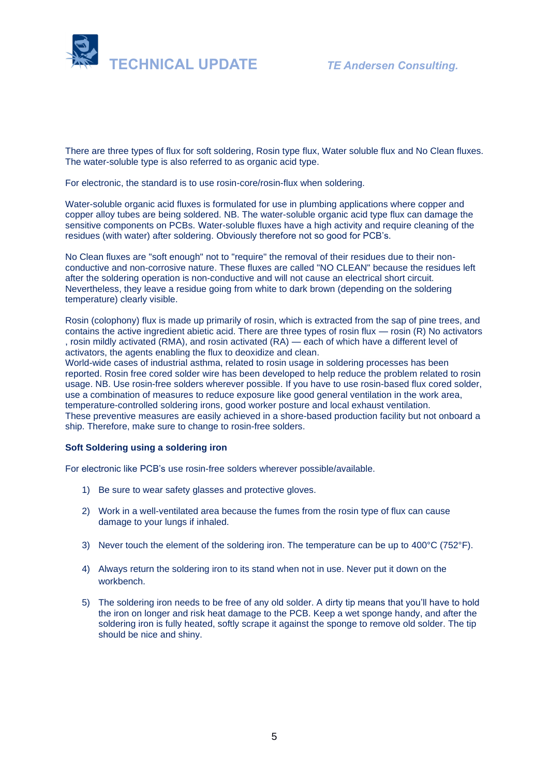

There are three types of flux for soft soldering, Rosin type flux, Water soluble flux and No Clean fluxes. The water-soluble type is also referred to as organic acid type.

For electronic, the standard is to use rosin-core/rosin-flux when soldering.

Water-soluble organic acid fluxes is formulated for use in plumbing applications where copper and copper alloy tubes are being soldered. NB. The water-soluble organic acid type flux can damage the sensitive components on PCBs. Water-soluble fluxes have a high activity and require cleaning of the residues (with water) after soldering. Obviously therefore not so good for PCB's.

No Clean fluxes are "soft enough" not to "require" the removal of their residues due to their nonconductive and non-corrosive nature. These fluxes are called "NO CLEAN" because the residues left after the soldering operation is non-conductive and will not cause an electrical short circuit. Nevertheless, they leave a residue going from white to dark brown (depending on the soldering temperature) clearly visible.

Rosin (colophony) flux is made up primarily of rosin, which is extracted from the sap of pine trees, and contains the active ingredient abietic acid. There are three types of rosin flux — rosin (R) No activators , rosin mildly activated (RMA), and rosin activated (RA) — each of which have a different level of activators, the agents enabling the flux to deoxidize and clean.

World-wide cases of industrial asthma, related to rosin usage in soldering processes has been reported. Rosin free cored solder wire has been developed to help reduce the problem related to rosin usage. NB. Use rosin-free solders wherever possible. If you have to use rosin-based flux cored solder, use a combination of measures to reduce exposure like good general ventilation in the work area, temperature-controlled soldering irons, good worker posture and local exhaust ventilation. These preventive measures are easily achieved in a shore-based production facility but not onboard a ship. Therefore, make sure to change to rosin-free solders.

#### **Soft Soldering using a soldering iron**

For electronic like PCB's use rosin-free solders wherever possible/available.

- 1) Be sure to wear safety glasses and protective gloves.
- 2) Work in a well-ventilated area because the fumes from the rosin type of flux can cause damage to your lungs if inhaled.
- 3) Never touch the element of the soldering iron. The temperature can be up to  $400^{\circ}$ C (752 $^{\circ}$ F).
- 4) Always return the soldering iron to its stand when not in use. Never put it down on the workbench.
- 5) The soldering iron needs to be free of any old solder. A dirty tip means that you'll have to hold the iron on longer and risk heat damage to the PCB. Keep a wet sponge handy, and after the soldering iron is fully heated, softly scrape it against the sponge to remove old solder. The tip should be nice and shiny.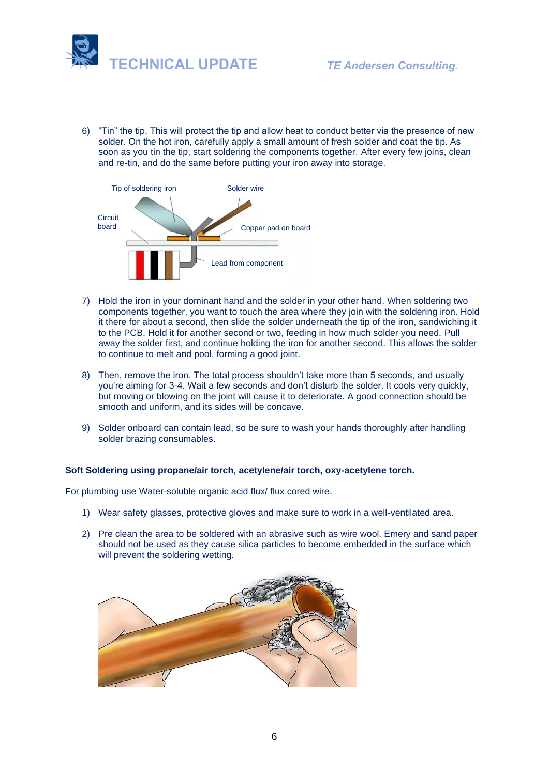

6) "Tin" the tip. This will protect the tip and allow heat to conduct better via the presence of new solder. On the hot iron, carefully apply a small amount of fresh solder and coat the tip. As soon as you tin the tip, start soldering the components together. After every few joins, clean and re-tin, and do the same before putting your iron away into storage.



- 7) Hold the iron in your dominant hand and the solder in your other hand. When soldering two components together, you want to touch the area where they join with the soldering iron. Hold it there for about a second, then slide the solder underneath the tip of the iron, sandwiching it to the PCB. Hold it for another second or two, feeding in how much solder you need. Pull away the solder first, and continue holding the iron for another second. This allows the solder to continue to melt and pool, forming a good joint.
- 8) Then, remove the iron. The total process shouldn't take more than 5 seconds, and usually you're aiming for 3-4. Wait a few seconds and don't disturb the solder. It cools very quickly, but moving or blowing on the joint will cause it to deteriorate. A good connection should be smooth and uniform, and its sides will be concave.
- 9) Solder onboard can contain lead, so be sure to wash your hands thoroughly after handling solder brazing consumables.

#### **Soft Soldering using propane/air torch, acetylene/air torch, oxy-acetylene torch.**

For plumbing use Water-soluble organic acid flux/ flux cored wire.

- 1) Wear safety glasses, protective gloves and make sure to work in a well-ventilated area.
- 2) Pre clean the area to be soldered with an abrasive such as wire wool. Emery and sand paper should not be used as they cause silica particles to become embedded in the surface which will prevent the soldering wetting.

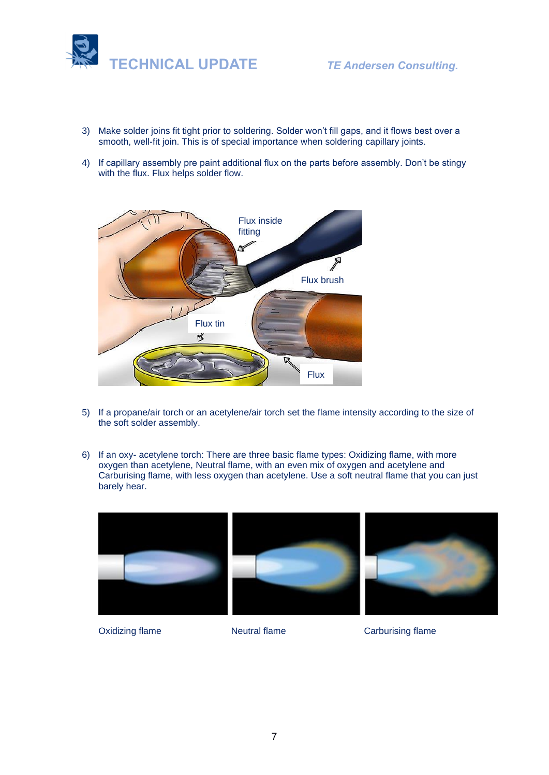

- 3) Make solder joins fit tight prior to soldering. Solder won't fill gaps, and it flows best over a smooth, well-fit join. This is of special importance when soldering capillary joints.
- 4) If capillary assembly pre paint additional flux on the parts before assembly. Don't be stingy with the flux. Flux helps solder flow.



- 5) If a propane/air torch or an acetylene/air torch set the flame intensity according to the size of the soft solder assembly.
- 6) If an oxy- acetylene torch: There are three basic flame types: Oxidizing flame, with more oxygen than acetylene, Neutral flame, with an even mix of oxygen and acetylene and Carburising flame, with less oxygen than acetylene. Use a soft neutral flame that you can just barely hear.



Oxidizing flame **Neutral flame** Carburising flame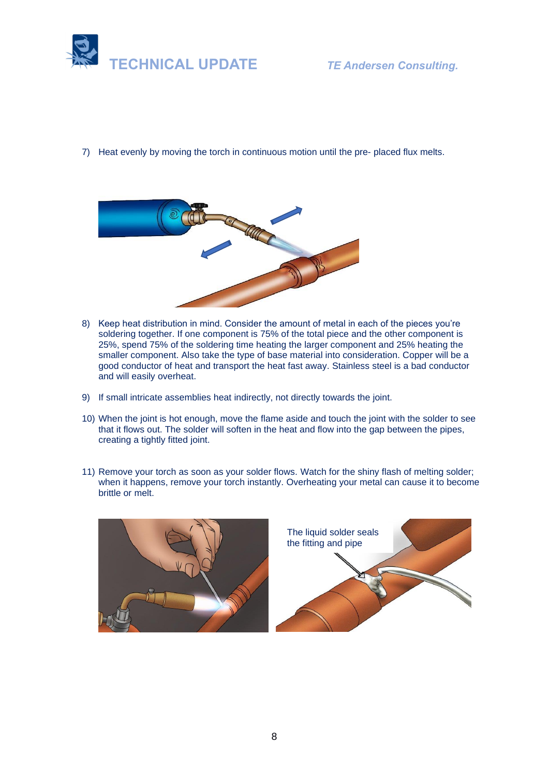

7) Heat evenly by moving the torch in continuous motion until the pre- placed flux melts.



- 8) Keep heat distribution in mind. Consider the amount of metal in each of the pieces you're soldering together. If one component is 75% of the total piece and the other component is 25%, spend 75% of the soldering time heating the larger component and 25% heating the smaller component. Also take the type of base material into consideration. Copper will be a good conductor of heat and transport the heat fast away. Stainless steel is a bad conductor and will easily overheat.
- 9) If small intricate assemblies heat indirectly, not directly towards the joint.
- 10) When the joint is hot enough, move the flame aside and touch the joint with the solder to see that it flows out. The solder will soften in the heat and flow into the gap between the pipes, creating a tightly fitted joint.
- 11) Remove your torch as soon as your solder flows. Watch for the shiny flash of melting solder; when it happens, remove your torch instantly. Overheating your metal can cause it to become brittle or melt.

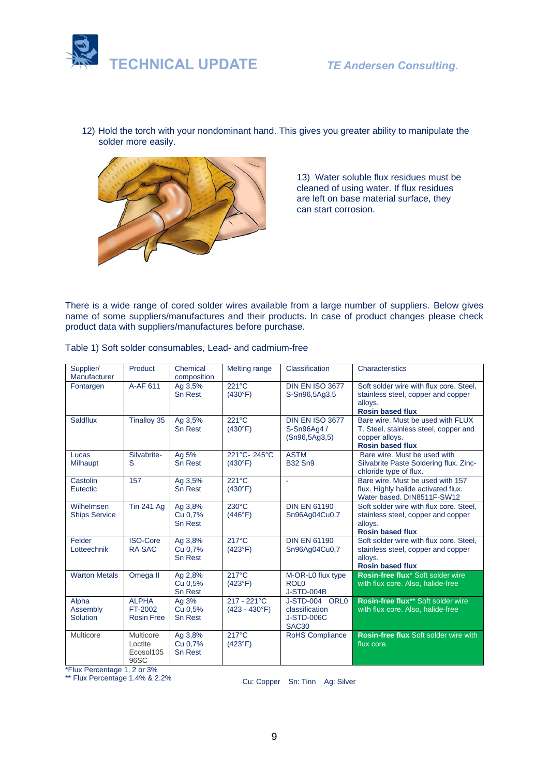

12) Hold the torch with your nondominant hand. This gives you greater ability to manipulate the solder more easily.



13) Water soluble flux residues must be cleaned of using water. If flux residues are left on base material surface, they can start corrosion.

There is a wide range of cored solder wires available from a large number of suppliers. Below gives name of some suppliers/manufactures and their products. In case of product changes please check product data with suppliers/manufactures before purchase.

| Supplier/<br>Manufacturer          | Product                                      | Chemical<br>composition              | Melting range                       | Classification                                                             | Characteristics                                                                                                         |
|------------------------------------|----------------------------------------------|--------------------------------------|-------------------------------------|----------------------------------------------------------------------------|-------------------------------------------------------------------------------------------------------------------------|
| Fontargen                          | A-AF 611                                     | Ag 3,5%<br>Sn Rest                   | $221^{\circ}$ C<br>(430°F)          | <b>DIN EN ISO 3677</b><br>S-Sn96,5Ag3,5                                    | Soft solder wire with flux core. Steel.<br>stainless steel, copper and copper<br>alloys.<br><b>Rosin based flux</b>     |
| <b>Saldflux</b>                    | Tinalloy 35                                  | Ag 3,5%<br><b>Sn Rest</b>            | 221°C<br>(430°F)                    | <b>DIN EN ISO 3677</b><br>S-Sn96Aq4 /<br>(Sn96, 5Ag3, 5)                   | Bare wire. Must be used with FLUX<br>T. Steel, stainless steel, copper and<br>copper alloys.<br><b>Rosin based flux</b> |
| Lucas<br>Milhaupt                  | Silvabrite-<br>S                             | Ag 5%<br><b>Sn Rest</b>              | 221°C-245°C<br>(430°F)              | <b>ASTM</b><br><b>B32 Sn9</b>                                              | Bare wire. Must be used with<br>Silvabrite Paste Soldering flux. Zinc-<br>chloride type of flux.                        |
| Castolin<br>Eutectic               | 157                                          | Ag 3,5%<br><b>Sn Rest</b>            | 221°C<br>(430°F)                    | ÷.                                                                         | Bare wire. Must be used with 157<br>flux. Highly halide activated flux.<br>Water based. DIN8511F-SW12                   |
| Wilhelmsen<br><b>Ships Service</b> | <b>Tin 241 Ag</b>                            | Ag 3,8%<br>Cu 0,7%<br><b>Sn Rest</b> | $230^{\circ}$ C<br>(446°F)          | <b>DIN EN 61190</b><br>Sn96Ag04Cu0,7                                       | Soft solder wire with flux core. Steel.<br>stainless steel, copper and copper<br>alloys.<br><b>Rosin based flux</b>     |
| Felder<br>Lotteechnik              | <b>ISO-Core</b><br><b>RA SAC</b>             | Ag 3,8%<br>Cu 0,7%<br><b>Sn Rest</b> | $217^{\circ}$ C<br>$(423^{\circ}F)$ | <b>DIN EN 61190</b><br>Sn96Ag04Cu0,7                                       | Soft solder wire with flux core. Steel.<br>stainless steel, copper and copper<br>alloys.<br><b>Rosin based flux</b>     |
| <b>Warton Metals</b>               | Omega II                                     | Ag 2,8%<br>Cu 0,5%<br><b>Sn Rest</b> | $217^{\circ}$ C<br>$(423^{\circ}F)$ | M-OR-L0 flux type<br>ROL <sub>0</sub><br><b>J-STD-004B</b>                 | Rosin-free flux* Soft solder wire<br>with flux core. Also, halide-free                                                  |
| Alpha<br>Assembly<br>Solution      | <b>ALPHA</b><br>FT-2002<br><b>Rosin Free</b> | Ag 3%<br>Cu 0,5%<br><b>Sn Rest</b>   | 217 - 221°C<br>$(423 - 430$ °F)     | J-STD-004 ORL0<br>classification<br><b>J-STD-006C</b><br>SAC <sub>30</sub> | Rosin-free flux** Soft solder wire<br>with flux core. Also, halide-free                                                 |
| Multicore                          | Multicore<br>Loctite<br>Ecosol105<br>96SC    | Ag 3,8%<br>Cu 0,7%<br><b>Sn Rest</b> | $217^{\circ}$ C<br>$(423^{\circ}F)$ | <b>RoHS Compliance</b>                                                     | Rosin-free flux Soft solder wire with<br>flux core.                                                                     |

\*Flux Percentage 1, 2 or 3%

\*\* Flux Percentage 1.4% & 2.2%

Cu: Copper Sn: Tinn Ag: Silver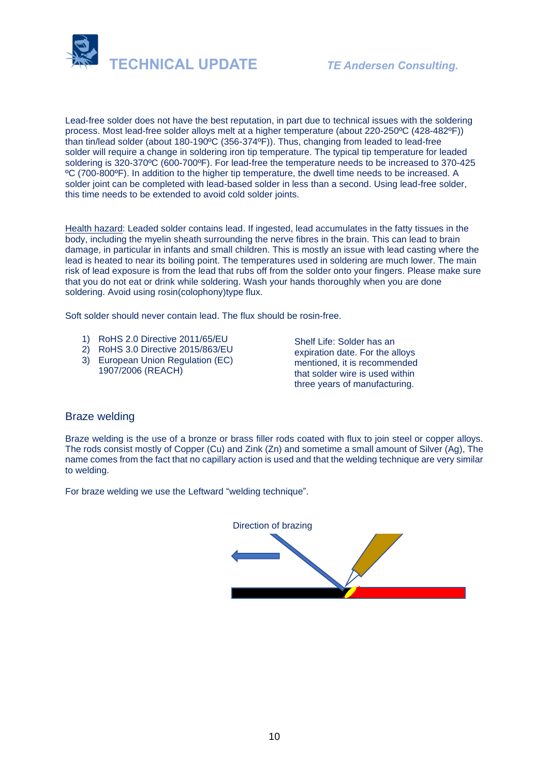

Lead-free solder does not have the best reputation, in part due to technical issues with the soldering process. Most lead-free solder alloys melt at a higher temperature (about 220-250ºC (428-482ºF)) than tin/lead solder (about 180-190ºC (356-374ºF)). Thus, changing from leaded to lead-free solder will require a change in soldering iron tip temperature. The typical tip temperature for leaded soldering is 320-370ºC (600-700ºF). For lead-free the temperature needs to be increased to 370-425 ºC (700-800ºF). In addition to the higher tip temperature, the dwell time needs to be increased. A solder joint can be completed with lead-based solder in less than a second. Using lead-free solder, this time needs to be extended to avoid cold solder joints.

Health hazard: Leaded solder contains lead. If ingested, lead accumulates in the fatty tissues in the body, including the myelin sheath surrounding the nerve fibres in the brain. This can lead to brain damage, in particular in infants and small children. This is mostly an issue with lead casting where the lead is heated to near its boiling point. The temperatures used in soldering are much lower. The main risk of lead exposure is from the lead that rubs off from the solder onto your fingers. Please make sure that you do not eat or drink while soldering. Wash your hands thoroughly when you are done soldering. Avoid using rosin(colophony)type flux.

Soft solder should never contain lead. The flux should be rosin-free.

- 1) RoHS 2.0 Directive 2011/65/EU
- 2) RoHS 3.0 Directive 2015/863/EU
- 3) European Union Regulation (EC) 1907/2006 (REACH)

Shelf Life: Solder has an expiration date. For the alloys mentioned, it is recommended that solder wire is used within three years of manufacturing.

## Braze welding

Braze welding is the use of a bronze or brass filler rods coated with flux to join steel or copper alloys. The rods consist mostly of Copper (Cu) and Zink (Zn) and sometime a small amount of Silver (Ag), The name comes from the fact that no capillary action is used and that the welding technique are very similar to welding.

For braze welding we use the Leftward "welding technique".

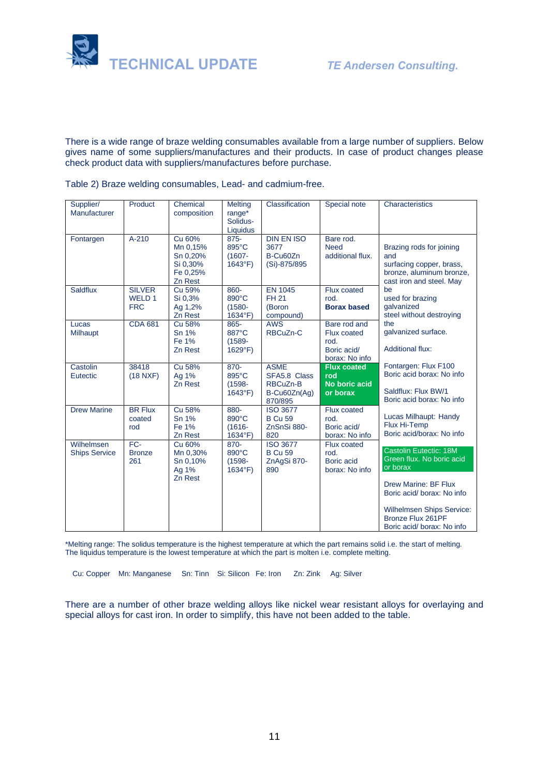

There is a wide range of braze welding consumables available from a large number of suppliers. Below gives name of some suppliers/manufactures and their products. In case of product changes please check product data with suppliers/manufactures before purchase.

Table 2) Braze welding consumables, Lead- and cadmium-free.

| Supplier/<br>Manufacturer          | Product                               | Chemical<br>composition                                           | <b>Melting</b><br>range*<br>Solidus-<br>Liquidus | Classification                                                     | Special note                                                         | Characteristics                                                                                                                           |
|------------------------------------|---------------------------------------|-------------------------------------------------------------------|--------------------------------------------------|--------------------------------------------------------------------|----------------------------------------------------------------------|-------------------------------------------------------------------------------------------------------------------------------------------|
| Fontargen                          | $A-210$                               | Cu 60%<br>Mn 0,15%<br>Sn 0,20%<br>Si 0,30%<br>Fe 0,25%<br>Zn Rest | $875 -$<br>895°C<br>$(1607 -$<br>$1643^{\circ}F$ | <b>DIN EN ISO</b><br>3677<br>B-Cu60Zn<br>(Si)-875/895              | Bare rod.<br><b>Need</b><br>additional flux.                         | Brazing rods for joining<br>and<br>surfacing copper, brass,<br>bronze, aluminum bronze,<br>cast iron and steel. May                       |
| <b>Saldflux</b>                    | <b>SILVER</b><br>WELD 1<br><b>FRC</b> | Cu 59%<br>Si 0,3%<br>Ag 1,2%<br>Zn Rest                           | 860-<br>890°C<br>$(1580 -$<br>1634°F)            | <b>EN 1045</b><br><b>FH 21</b><br>(Boron<br>compound)              | Flux coated<br>rod.<br><b>Borax based</b>                            | be<br>used for brazing<br>qalvanized<br>steel without destroying                                                                          |
| Lucas<br>Milhaupt                  | <b>CDA 681</b>                        | Cu 58%<br>Sn 1%<br>Fe 1%<br>Zn Rest                               | 865-<br>887°C<br>$(1589 -$<br>$1629^{\circ}F$    | <b>AWS</b><br><b>RBCuZn-C</b>                                      | Bare rod and<br>Flux coated<br>rod.<br>Boric acid/<br>borax: No info | the<br>galvanized surface.<br><b>Additional flux:</b>                                                                                     |
| Castolin<br>Eutectic               | 38418<br>(18 NXF)                     | Cu 58%<br>Ag 1%<br>Zn Rest                                        | $870 -$<br>895°C<br>$(1598 -$<br>$1643^{\circ}F$ | <b>ASME</b><br>SFA5.8 Class<br>RBCuZn-B<br>B-Cu60Zn(Ag)<br>870/895 | <b>Flux coated</b><br>rod<br>No boric acid<br>or borax               | Fontargen: Flux F100<br>Boric acid borax: No info<br>Saldflux: Flux BW/1<br>Boric acid borax: No info                                     |
| <b>Drew Marine</b>                 | <b>BR Flux</b><br>coated<br>rod       | Cu 58%<br>Sn 1%<br>Fe 1%<br>Zn Rest                               | 880-<br>890°C<br>$(1616 -$<br>$1634^{\circ}F$    | <b>ISO 3677</b><br><b>B Cu 59</b><br>ZnSnSi 880-<br>820            | <b>Flux coated</b><br>rod.<br>Boric acid/<br>borax: No info          | Lucas Milhaupt: Handy<br>Flux Hi-Temp<br>Boric acid/borax: No info                                                                        |
| Wilhelmsen<br><b>Ships Service</b> | $FC-$<br><b>Bronze</b><br>261         | Cu 60%<br>Mn 0,30%<br>Sn 0,10%<br>Ag 1%<br>Zn Rest                | 870-<br>890°C<br>$(1598 -$<br>$1634^{\circ}F$ )  | <b>ISO 3677</b><br><b>B Cu 59</b><br>ZnAgSi 870-<br>890            | <b>Flux coated</b><br>rod.<br>Boric acid<br>borax: No info           | Castolin Eutectic: 18M<br>Green flux. No boric acid<br>or borax                                                                           |
|                                    |                                       |                                                                   |                                                  |                                                                    |                                                                      | <b>Drew Marine: BF Flux</b><br>Boric acid/ borax: No info<br>Wilhelmsen Ships Service:<br>Bronze Flux 261PF<br>Boric acid/ borax: No info |

\*Melting range: The solidus temperature is the highest temperature at which the part remains solid i.e. the start of melting. The liquidus temperature is the lowest temperature at which the part is molten i.e. complete melting.

Cu: Copper Mn: Manganese Sn: Tinn Si: Silicon Fe: Iron Zn: Zink Ag: Silver

There are a number of other braze welding alloys like nickel wear resistant alloys for overlaying and special alloys for cast iron. In order to simplify, this have not been added to the table.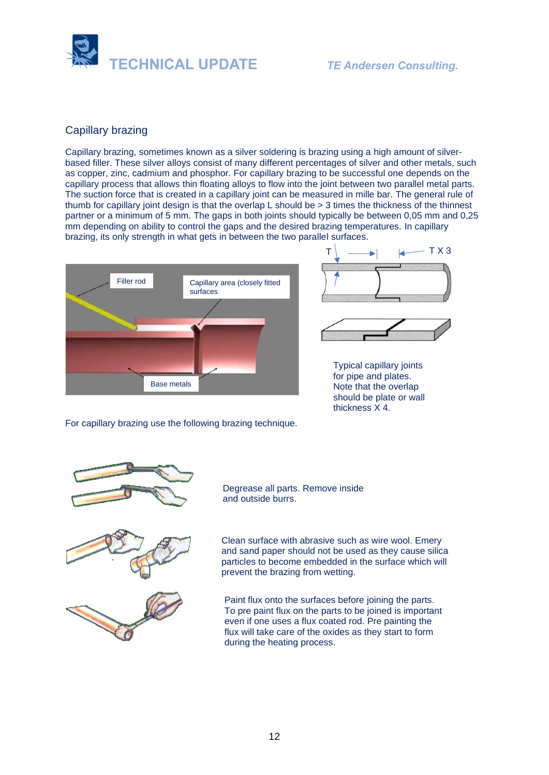

# Capillary brazing

Capillary brazing, sometimes known as a silver soldering is brazing using a high amount of silverbased filler. These silver alloys consist of many different percentages of silver and other metals, such as copper, zinc, cadmium and phosphor. For capillary brazing to be successful one depends on the capillary process that allows thin floating alloys to flow into the joint between two parallel metal parts. The suction force that is created in a capillary joint can be measured in mille bar. The general rule of thumb for capillary joint design is that the overlap L should be > 3 times the thickness of the thinnest partner or a minimum of 5 mm. The gaps in both joints should typically be between 0,05 mm and 0,25 mm depending on ability to control the gaps and the desired brazing temperatures. In capillary brazing, its only strength in what gets in between the two parallel surfaces.







Typical capillary joints for pipe and plates. Note that the overlap should be plate or wall thickness X 4.

For capillary brazing use the following brazing technique.



Degrease all parts. Remove inside and outside burrs.





Clean surface with abrasive such as wire wool. Emery and sand paper should not be used as they cause silica particles to become embedded in the surface which will prevent the brazing from wetting.

Paint flux onto the surfaces before joining the parts. To pre paint flux on the parts to be joined is important even if one uses a flux coated rod. Pre painting the flux will take care of the oxides as they start to form during the heating process.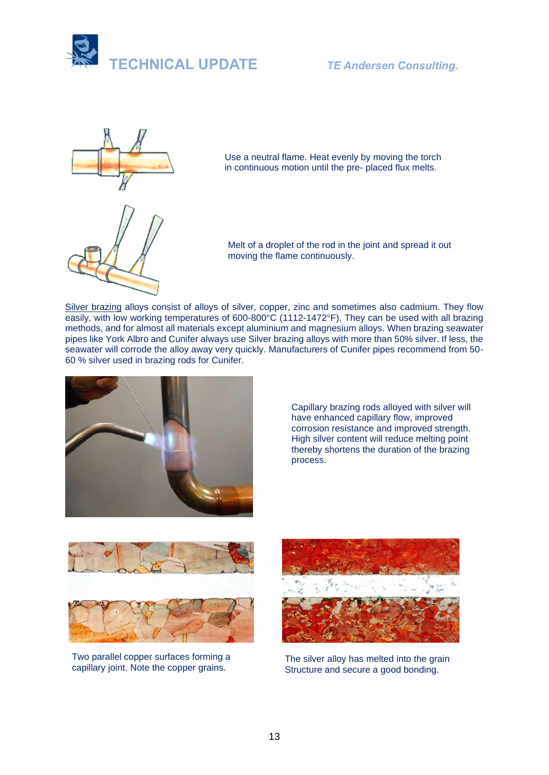



Use a neutral flame. Heat evenly by moving the torch in continuous motion until the pre- placed flux melts.



Melt of a droplet of the rod in the joint and spread it out moving the flame continuously.

[Silver](https://www.sciencedirect.com/topics/engineering/silver) brazing alloys consist of alloys of silver, copper, zinc and sometimes also [cadmium.](https://www.sciencedirect.com/topics/engineering/cadmium) They flow easily, with low working temperatures of 600-800°C (1112-1472°F). They can be used with all brazing methods, and for almost all materials except aluminium and [magnesium alloys.](https://www.sciencedirect.com/topics/engineering/magnesium-alloys) When brazing seawater pipes like York Albro and Cunifer always use Silver brazing alloys with more than 50% silver. If less, the seawater will corrode the alloy away very quickly. Manufacturers of Cunifer pipes recommend from 50-60 % silver used in brazing rods for Cunifer.



Capillary brazing rods alloyed with silver will have enhanced capillary flow, improved corrosion resistance and improved strength. High silver content will reduce melting point thereby shortens the duration of the brazing process.



Two parallel copper surfaces forming a capillary joint. Note the copper grains.



The silver alloy has melted into the grain Structure and secure a good bonding.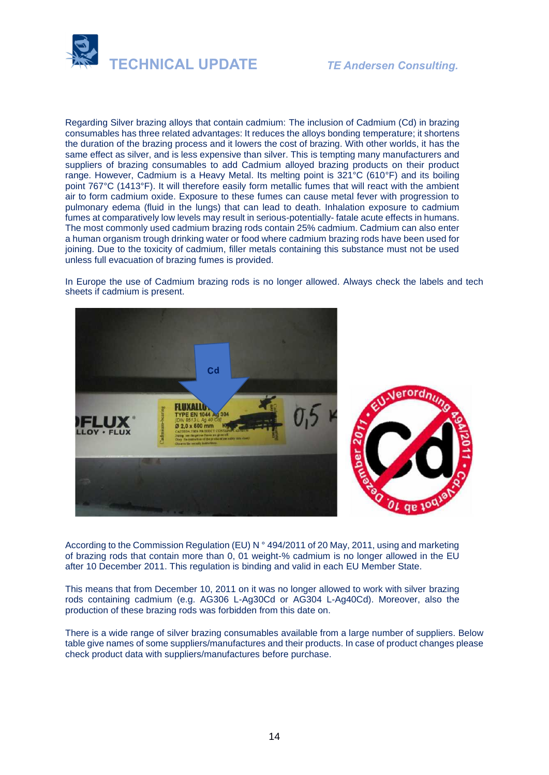



Regarding Silver brazing alloys that contain cadmium: The inclusion of Cadmium (Cd) in brazing consumables has three related advantages: It reduces the alloys bonding temperature; it shortens the duration of the brazing process and it lowers the cost of brazing. With other worlds, it has the same effect as silver, and is less expensive than silver. This is tempting many manufacturers and suppliers of brazing consumables to add Cadmium alloyed brazing products on their product range. However, Cadmium is a Heavy Metal. Its melting point is 321°C (610°F) and its boiling point 767°C (1413°F). It will therefore easily form metallic fumes that will react with the ambient air to form cadmium oxide. Exposure to these fumes can cause metal fever with progression to pulmonary edema (fluid in the lungs) that can lead to death. Inhalation exposure to cadmium fumes at comparatively low levels may result in serious-potentially- fatale acute effects in humans. The most commonly used cadmium brazing rods contain 25% cadmium. Cadmium can also enter a human organism trough drinking water or food where cadmium brazing rods have been used for joining. Due to the toxicity of cadmium, filler metals containing this substance must not be used unless full evacuation of brazing fumes is provided.

In Europe the use of Cadmium brazing rods is no longer allowed. Always check the labels and tech sheets if cadmium is present.



According to the Commission Regulation (EU) N ° 494/2011 of 20 May, 2011, using and marketing of brazing rods that contain more than 0, 01 weight-% cadmium is no longer allowed in the EU after 10 December 2011. This regulation is binding and valid in each EU Member State.

This means that from December 10, 2011 on it was no longer allowed to work with silver brazing rods containing cadmium (e.g. AG306 L-Ag30Cd or AG304 L-Ag40Cd). Moreover, also the production of these brazing rods was forbidden from this date on.

There is a wide range of silver brazing consumables available from a large number of suppliers. Below table give names of some suppliers/manufactures and their products. In case of product changes please check product data with suppliers/manufactures before purchase.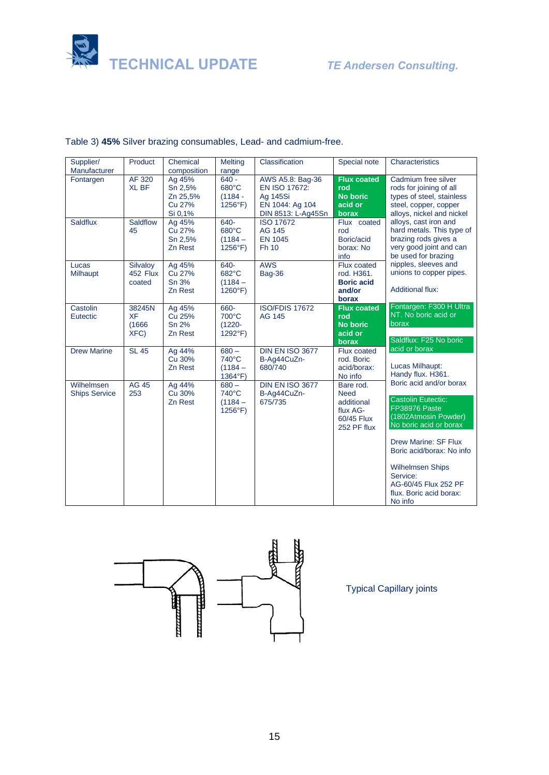



| Supplier/<br>Manufacturer          | Product                               | Chemical<br>composition                            | <b>Melting</b><br>range                                 | Classification                                                                         | Special note                                                                    | Characteristics                                                                                                                   |
|------------------------------------|---------------------------------------|----------------------------------------------------|---------------------------------------------------------|----------------------------------------------------------------------------------------|---------------------------------------------------------------------------------|-----------------------------------------------------------------------------------------------------------------------------------|
| Fontargen                          | AF 320<br><b>XL BF</b>                | Ag 45%<br>Sn 2,5%<br>Zn 25,5%<br>Cu 27%<br>Si 0,1% | $640 -$<br>680°C<br>$(1184 -$<br>$1256^{\circ}F$        | AWS A5.8: Bag-36<br>EN ISO 17672:<br>Ag 145Si<br>EN 1044: Ag 104<br>DIN 8513: L-Ag45Sn | <b>Flux coated</b><br>rod<br><b>No boric</b><br>acid or<br>borax                | Cadmium free silver<br>rods for joining of all<br>types of steel, stainless<br>steel, copper, copper<br>alloys, nickel and nickel |
| Saldflux                           | Saldflow<br>45                        | Ag 45%<br>Cu 27%<br>Sn 2,5%<br>Zn Rest             | 640-<br>$680^{\circ}$ C<br>$(1184 -$<br>$1256^{\circ}F$ | <b>ISO 17672</b><br>AG 145<br><b>EN 1045</b><br>Fh 10                                  | Flux coated<br>rod<br>Boric/acid<br>borax: No<br>info                           | alloys, cast iron and<br>hard metals. This type of<br>brazing rods gives a<br>very good joint and can<br>be used for brazing      |
| Lucas<br><b>Milhaupt</b>           | Silvaloy<br>452 Flux<br>coated        | Ag 45%<br>Cu 27%<br>Sn 3%<br>Zn Rest               | 640-<br>682°C<br>$(1184 -$<br>$1260^\circ F$            | <b>AWS</b><br><b>Bag-36</b>                                                            | Flux coated<br>rod. H361.<br><b>Boric acid</b><br>and/or<br>borax               | nipples, sleeves and<br>unions to copper pipes.<br><b>Additional flux:</b>                                                        |
| Castolin<br>Eutectic               | 38245N<br><b>XF</b><br>(1666)<br>XFC) | Ag 45%<br>Cu 25%<br>Sn 2%<br>Zn Rest               | 660-<br>700°C<br>$(1220 -$<br>$1292^{\circ}F$           | <b>ISO/FDIS 17672</b><br><b>AG 145</b>                                                 | <b>Flux coated</b><br>rod<br><b>No boric</b><br>acid or<br>borax                | Fontargen: F300 H Ultra<br>NT. No boric acid or<br>borax<br>Saldflux: F25 No boric                                                |
| <b>Drew Marine</b>                 | <b>SL 45</b>                          | Ag 44%<br>Cu 30%<br>Zn Rest                        | $680 -$<br>740°C<br>$(1184 -$<br>1364°F)                | <b>DIN EN ISO 3677</b><br>B-Ag44CuZn-<br>680/740                                       | Flux coated<br>rod. Boric<br>acid/borax:<br>No info                             | acid or borax<br>Lucas Milhaupt:<br>Handy flux. H361.                                                                             |
| Wilhelmsen<br><b>Ships Service</b> | <b>AG 45</b><br>253                   | Ag 44%<br>Cu 30%<br>Zn Rest                        | $680 -$<br>740°C<br>$(1184 -$<br>$1256^{\circ}F$        | <b>DIN EN ISO 3677</b><br>B-Ag44CuZn-<br>675/735                                       | Bare rod.<br><b>Need</b><br>additional<br>flux AG-<br>60/45 Flux<br>252 PF flux | Boric acid and/or borax<br><b>Castolin Eutectic:</b><br>FP38976 Paste<br>(1802Atmosin Powder)<br>No boric acid or borax           |
|                                    |                                       |                                                    |                                                         |                                                                                        |                                                                                 | Drew Marine: SF Flux<br>Boric acid/borax: No info<br><b>Wilhelmsen Ships</b>                                                      |
|                                    |                                       |                                                    |                                                         |                                                                                        |                                                                                 | Service:<br>AG-60/45 Flux 252 PF<br>flux. Boric acid borax:<br>No info                                                            |

# Table 3) **45%** Silver brazing consumables, Lead- and cadmium-free.



Typical Capillary joints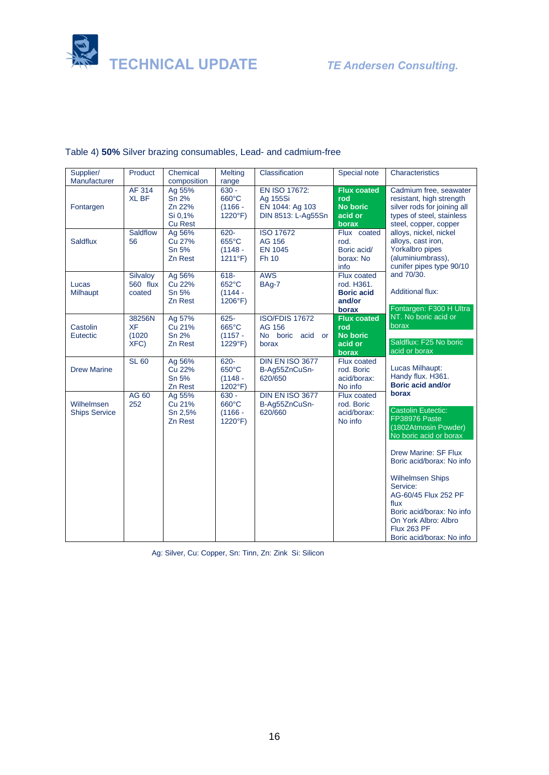



| Supplier/<br>Manufacturer          | Product                               | Chemical<br>composition                                | <b>Melting</b>                                            | Classification                                                     | Special note                                                      | Characteristics                                                                                                                                                                                                                                                                                                                                  |
|------------------------------------|---------------------------------------|--------------------------------------------------------|-----------------------------------------------------------|--------------------------------------------------------------------|-------------------------------------------------------------------|--------------------------------------------------------------------------------------------------------------------------------------------------------------------------------------------------------------------------------------------------------------------------------------------------------------------------------------------------|
| Fontargen                          | AF 314<br><b>XL BF</b>                | Ag 55%<br>Sn 2%<br>Zn 22%<br>Si 0,1%<br><b>Cu Rest</b> | range<br>$630 -$<br>660°C<br>$(1166 -$<br>$1220^{\circ}F$ | EN ISO 17672:<br>Ag 155Si<br>EN 1044: Ag 103<br>DIN 8513: L-Ag55Sn | <b>Flux coated</b><br>rod<br><b>No boric</b><br>acid or<br>borax  | Cadmium free, seawater<br>resistant, high strength<br>silver rods for joining all<br>types of steel, stainless<br>steel, copper, copper                                                                                                                                                                                                          |
| <b>Saldflux</b>                    | Saldflow<br>56                        | Ag 56%<br>Cu 27%<br>Sn 5%<br>Zn Rest                   | 620-<br>655°C<br>$(1148 -$<br>1211°F)                     | <b>ISO 17672</b><br>AG 156<br><b>EN 1045</b><br>Fh 10              | Flux coated<br>rod.<br>Boric acid/<br>borax: No<br>info           | alloys, nickel, nickel<br>alloys, cast iron,<br>Yorkalbro pipes<br>(aluminiumbrass),<br>cunifer pipes type 90/10                                                                                                                                                                                                                                 |
| Lucas<br>Milhaupt                  | Silvaloy<br>560 flux<br>coated        | Ag 56%<br>Cu 22%<br>Sn 5%<br>Zn Rest                   | $618 -$<br>652°C<br>$(1144 -$<br>$1206^{\circ}F$          | <b>AWS</b><br>BAg-7                                                | Flux coated<br>rod. H361.<br><b>Boric acid</b><br>and/or<br>borax | and 70/30.<br><b>Additional flux:</b><br>Fontargen: F300 H Ultra                                                                                                                                                                                                                                                                                 |
| Castolin<br>Eutectic               | 38256N<br><b>XF</b><br>(1020)<br>XFC) | Ag 57%<br>Cu 21%<br>Sn 2%<br>Zn Rest                   | $625 -$<br>665°C<br>$(1157 -$<br>1229°F)                  | <b>ISO/FDIS 17672</b><br>AG 156<br>No boric<br>acid or<br>borax    | <b>Flux coated</b><br>rod<br><b>No boric</b><br>acid or<br>borax  | NT. No boric acid or<br>borax<br>Saldflux: F25 No boric<br>acid or borax                                                                                                                                                                                                                                                                         |
| <b>Drew Marine</b>                 | <b>SL 60</b>                          | Ag 56%<br>Cu 22%<br>Sn 5%<br>Zn Rest                   | 620-<br>650°C<br>$(1148 -$<br>1202°F)                     | <b>DIN EN ISO 3677</b><br>B-Ag55ZnCuSn-<br>620/650                 | <b>Flux coated</b><br>rod. Boric<br>acid/borax:<br>No info        | Lucas Milhaupt:<br>Handy flux. H361.<br><b>Boric acid and/or</b>                                                                                                                                                                                                                                                                                 |
| Wilhelmsen<br><b>Ships Service</b> | AG 60<br>252                          | Ag 55%<br>Cu 21%<br>Sn 2,5%<br>Zn Rest                 | $630 -$<br>660°C<br>$(1166 -$<br>$1220^{\circ}F$          | <b>DIN EN ISO 3677</b><br>B-Ag55ZnCuSn-<br>620/660                 | Flux coated<br>rod. Boric<br>acid/borax:<br>No info               | borax<br><b>Castolin Eutectic:</b><br>FP38976 Paste<br>(1802Atmosin Powder)<br>No boric acid or borax<br><b>Drew Marine: SF Flux</b><br>Boric acid/borax: No info<br><b>Wilhelmsen Ships</b><br>Service:<br>AG-60/45 Flux 252 PF<br>flux<br>Boric acid/borax: No info<br>On York Albro: Albro<br><b>Flux 263 PF</b><br>Boric acid/borax: No info |

# Table 4) **50%** Silver brazing consumables, Lead- and cadmium-free

Ag: Silver, Cu: Copper, Sn: Tinn, Zn: Zink Si: Silicon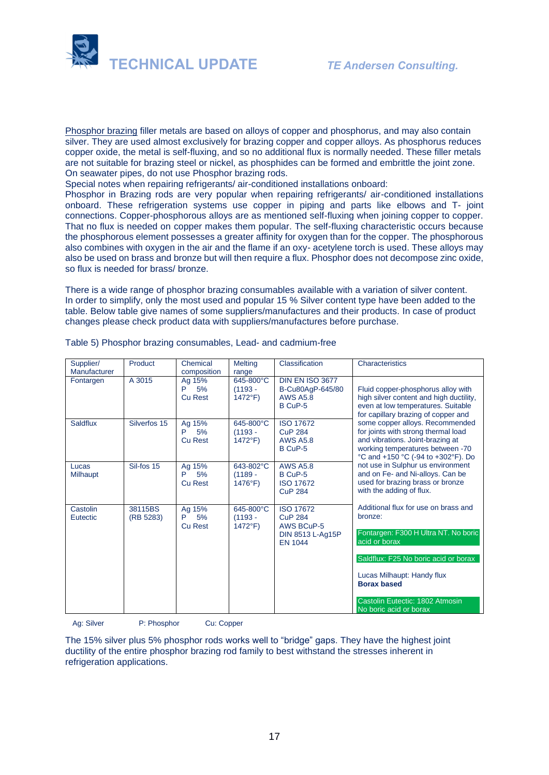

Phosphor brazing filler metals are based on alloys of copper and phosphorus, and may also contain silver. They are used almost exclusively for brazing copper and [copper alloys.](https://www.sciencedirect.com/topics/engineering/copper-alloys) As phosphorus reduces copper oxide, the metal is self-fluxing, and so no additional flux is normally needed. These filler metals are not suitable for brazing steel or nickel, as [phosphides](https://www.sciencedirect.com/topics/engineering/phosphide) can be formed and embrittle the joint zone. On seawater pipes, do not use Phosphor brazing rods.

Special notes when repairing refrigerants/ air-conditioned installations onboard:

Phosphor in Brazing rods are very popular when repairing refrigerants/ air-conditioned installations onboard. These refrigeration systems use copper in piping and parts like elbows and T- joint connections. Copper-phosphorous alloys are as mentioned self-fluxing when joining copper to copper. That no flux is needed on copper makes them popular. The self-fluxing characteristic occurs because the phosphorous element possesses a greater affinity for oxygen than for the copper. The phosphorous also combines with oxygen in the air and the flame if an oxy- acetylene torch is used. These alloys may also be used on brass and bronze but will then require a flux. Phosphor does not decompose zinc oxide, so flux is needed for brass/ bronze.

There is a wide range of phosphor brazing consumables available with a variation of silver content. In order to simplify, only the most used and popular 15 % Silver content type have been added to the table. Below table give names of some suppliers/manufactures and their products. In case of product changes please check product data with suppliers/manufactures before purchase.

| Supplier/<br>Manufacturer | Product              | Chemical<br>composition             | <b>Melting</b><br>range                     | Classification                                                                                | Characteristics                                                                                                                                                                                      |
|---------------------------|----------------------|-------------------------------------|---------------------------------------------|-----------------------------------------------------------------------------------------------|------------------------------------------------------------------------------------------------------------------------------------------------------------------------------------------------------|
| Fontargen                 | A 3015               | Ag 15%<br>5%<br>P<br><b>Cu Rest</b> | 645-800°C<br>$(1193 -$<br>$1472^{\circ}F$   | <b>DIN EN ISO 3677</b><br>B-Cu80AgP-645/80<br><b>AWS A5.8</b><br>B CuP-5                      | Fluid copper-phosphorus alloy with<br>high silver content and high ductility,<br>even at low temperatures. Suitable<br>for capillary brazing of copper and                                           |
| Saldflux                  | Silverfos 15         | Ag 15%<br>5%<br>P<br><b>Cu Rest</b> | 645-800°C<br>$(1193 -$<br>$1472^{\circ}F$ ) | <b>ISO 17672</b><br><b>CuP 284</b><br><b>AWS A5.8</b><br>B CuP-5                              | some copper alloys. Recommended<br>for joints with strong thermal load<br>and vibrations. Joint-brazing at<br>working temperatures between -70<br>°C and +150 °C (-94 to +302°F). Do                 |
| Lucas<br>Milhaupt         | Sil-fos 15           | Ag 15%<br>5%<br>P<br><b>Cu Rest</b> | 643-802°C<br>$(1189 -$<br>$1476^{\circ}F$   | <b>AWS A5.8</b><br>B CuP-5<br><b>ISO 17672</b><br><b>CuP 284</b>                              | not use in Sulphur us environment<br>and on Fe- and Ni-alloys. Can be<br>used for brazing brass or bronze<br>with the adding of flux.                                                                |
| Castolin<br>Eutectic      | 38115BS<br>(RB 5283) | Ag 15%<br>5%<br>P<br><b>Cu Rest</b> | 645-800°C<br>$(1193 -$<br>$1472^{\circ}F$   | <b>ISO 17672</b><br><b>CuP 284</b><br><b>AWS BCuP-5</b><br>DIN 8513 L-Ag15P<br><b>EN 1044</b> | Additional flux for use on brass and<br>bronze:<br>Fontargen: F300 H Ultra NT. No boric<br>acid or borax<br>Saldflux: F25 No boric acid or borax<br>Lucas Milhaupt: Handy flux<br><b>Borax based</b> |
|                           |                      |                                     |                                             |                                                                                               | Castolin Eutectic: 1802 Atmosin<br>No boric acid or borax                                                                                                                                            |

Table 5) Phosphor brazing consumables, Lead- and cadmium-free

Ag: Silver P: Phosphor Cu: Copper

The 15% silver plus 5% phosphor rods works well to "bridge" gaps. They have the highest joint ductility of the entire phosphor brazing rod family to best withstand the stresses inherent in refrigeration applications.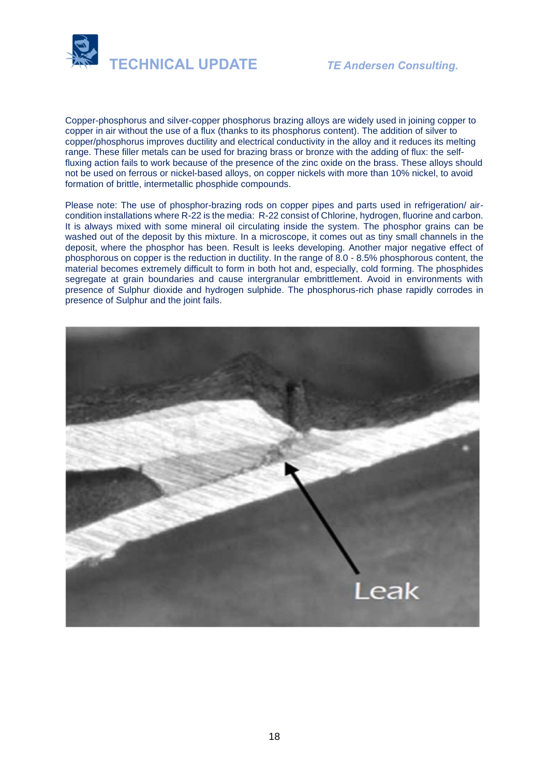

Copper-phosphorus and silver-copper phosphorus brazing alloys are widely used in joining copper to copper in air without the use of a flux (thanks to its phosphorus content). The addition of silver to copper/phosphorus improves ductility and electrical conductivity in the alloy and it reduces its melting range. These filler metals can be used for brazing brass or bronze with the adding of flux: the selffluxing action fails to work because of the presence of the zinc oxide on the brass. These alloys should not be used on ferrous or nickel-based alloys, on copper nickels with more than 10% nickel, to avoid formation of brittle, intermetallic phosphide compounds.

Please note: The use of phosphor-brazing rods on copper pipes and parts used in refrigeration/ aircondition installations where R-22 is the media: R-22 consist of Chlorine, hydrogen, fluorine and carbon. It is always mixed with some mineral oil circulating inside the system. The phosphor grains can be washed out of the deposit by this mixture. In a microscope, it comes out as tiny small channels in the deposit, where the phosphor has been. Result is leeks developing. Another major negative effect of phosphorous on copper is the reduction in ductility. In the range of 8.0 - 8.5% phosphorous content, the material becomes extremely difficult to form in both hot and, especially, cold forming. The phosphides segregate at grain boundaries and cause intergranular embrittlement. Avoid in environments with presence of Sulphur dioxide and hydrogen sulphide. The phosphorus-rich phase rapidly corrodes in presence of Sulphur and the joint fails.

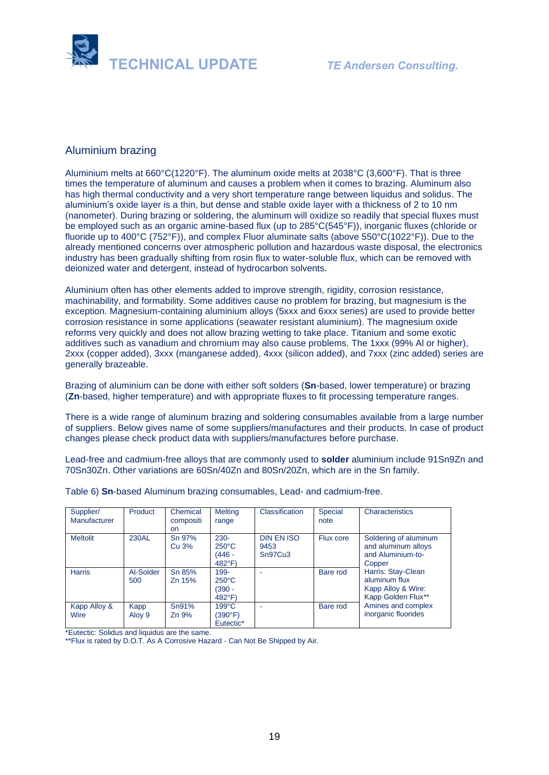

## Aluminium brazing

Aluminium melts at 660°C(1220°F). The aluminum oxide melts at 2038°C (3,600°F). That is three times the temperature of aluminum and causes a problem when it comes to brazing. Aluminum also has high thermal conductivity and a very short temperature range between liquidus and solidus. The aluminium's oxide layer is a thin, but dense and stable oxide layer with a thickness of 2 to 10 nm (nanometer). During brazing or soldering, the aluminum will oxidize so readily that special fluxes must be employed such as an organic amine-based flux (up to 285°C(545°F)), inorganic fluxes (chloride or fluoride up to 400°C (752°F)), and complex Fluor aluminate salts (above 550°C(1022°F)). Due to the already mentioned concerns over atmospheric pollution and hazardous waste disposal, the electronics industry has been gradually shifting from rosin flux to water-soluble flux, which can be removed with deionized water and detergent, instead of hydrocarbon solvents.

Aluminium often has other elements added to improve strength, rigidity, corrosion resistance, machinability, and formability. Some additives cause no problem for brazing, but magnesium is the exception. Magnesium-containing aluminium alloys (5xxx and 6xxx series) are used to provide better corrosion resistance in some applications (seawater resistant aluminium). The magnesium oxide reforms very quickly and does not allow brazing wetting to take place. Titanium and some exotic additives such as vanadium and chromium may also cause problems. The 1xxx (99% Al or higher), 2xxx (copper added), 3xxx (manganese added), 4xxx (silicon added), and 7xxx (zinc added) series are generally brazeable.

Brazing of aluminium can be done with either soft solders (**Sn**-based, lower temperature) or brazing (**Zn**-based, higher temperature) and with appropriate fluxes to fit processing temperature ranges.

There is a wide range of aluminum brazing and soldering consumables available from a large number of suppliers. Below gives name of some suppliers/manufactures and their products. In case of product changes please check product data with suppliers/manufactures before purchase.

Lead-free and cadmium-free alloys that are commonly used to **solder** aluminium include 91Sn9Zn and 70Sn30Zn. Other variations are 60Sn/40Zn and 80Sn/20Zn, which are in the Sn family.

| Supplier/<br>Manufacturer | Product          | Chemical<br>compositi<br><b>on</b> | <b>Melting</b><br>range                                | Classification                       | Special<br>note | Characteristics                                                                                                                                                                                             |
|---------------------------|------------------|------------------------------------|--------------------------------------------------------|--------------------------------------|-----------------|-------------------------------------------------------------------------------------------------------------------------------------------------------------------------------------------------------------|
| <b>Meltolit</b>           | 230AL            | Sn 97%<br>Cu 3%                    | $230 -$<br>$250^{\circ}$ C<br>(446 -<br>$482^{\circ}F$ | <b>DIN EN ISO</b><br>9453<br>Sn97Cu3 | Flux core       | Soldering of aluminum<br>and aluminum alloys<br>and Aluminium-to-<br>Copper<br>Harris: Stay-Clean<br>aluminum flux<br>Kapp Alloy & Wire:<br>Kapp Golden Flux**<br>Amines and complex<br>inorganic fluorides |
| <b>Harris</b>             | Al-Solder<br>500 | Sn 85%<br>Zn 15%                   | 199-<br>$250^{\circ}$ C<br>(390 -<br>$482^{\circ}F$    |                                      | Bare rod        |                                                                                                                                                                                                             |
| Kapp Alloy &<br>Wire      | Kapp<br>Aloy 9   | Sn91%<br>Zn 9%                     | $199^{\circ}$ C<br>(390°F)<br>Eutectic*                |                                      | Bare rod        |                                                                                                                                                                                                             |

Table 6) **Sn**-based Aluminum brazing consumables, Lead- and cadmium-free.

\*Eutectic: Solidus and liquidus are the same.

\*\*Flux is rated by D.O.T. As A Corrosive Hazard - Can Not Be Shipped by Air.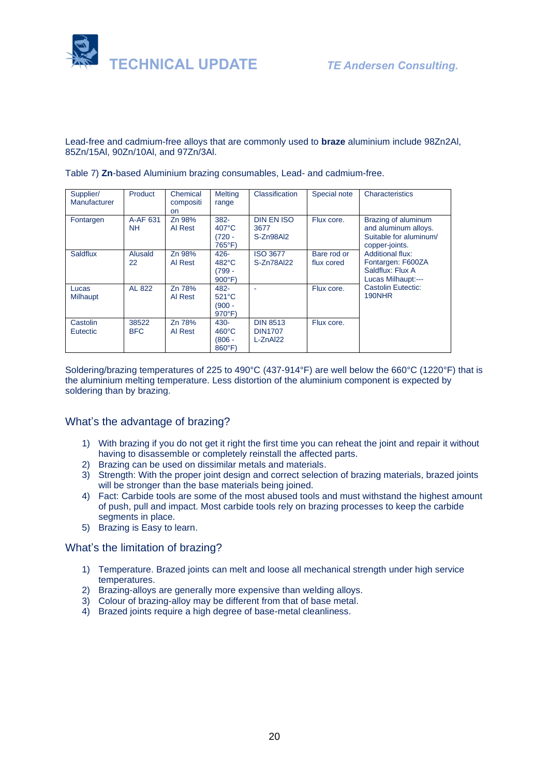

Lead-free and cadmium-free alloys that are commonly used to **braze** aluminium include 98Zn2Al, 85Zn/15Al, 90Zn/10Al, and 97Zn/3Al.

| Supplier/<br>Manufacturer | Product             | Chemical<br>compositi<br>on. | <b>Melting</b><br>range                                    | Classification                                   | Special note              | Characteristics                                                                                                                                                                   |
|---------------------------|---------------------|------------------------------|------------------------------------------------------------|--------------------------------------------------|---------------------------|-----------------------------------------------------------------------------------------------------------------------------------------------------------------------------------|
| Fontargen                 | A-AF 631<br>NH.     | Zn 98%<br>Al Rest            | $382 -$<br>$407^{\circ}$ C<br>$(720 -$<br>765°F)           | <b>DIN EN ISO</b><br>3677<br>S-Zn98Al2           | Flux core.                | Brazing of aluminum<br>and aluminum alloys.<br>Suitable for aluminum/<br>copper-joints.<br><b>Additional flux:</b><br>Fontargen: F600ZA<br>Saldflux: Flux A<br>Lucas Milhaupt:--- |
| Saldflux                  | Alusald<br>22       | Zn 98%<br>Al Rest            | $426 -$<br>$482^{\circ}$ C<br>$(799 -$<br>$900^{\circ}$ F) | <b>ISO 3677</b><br>S-Zn78Al22                    | Bare rod or<br>flux cored |                                                                                                                                                                                   |
| Lucas<br>Milhaupt         | AL 822              | Zn 78%<br>Al Rest            | 482-<br>$521^{\circ}$ C<br>$(900 -$<br>$970^\circ F$       |                                                  | Flux core.                | Castolin Eutectic:<br>190NHR                                                                                                                                                      |
| Castolin<br>Eutectic      | 38522<br><b>BFC</b> | Zn 78%<br>Al Rest            | $430 -$<br>$460^{\circ}$ C<br>$(806 -$<br>$860^{\circ}$ F) | <b>DIN 8513</b><br><b>DIN1707</b><br>$L$ -ZnAl22 | Flux core.                |                                                                                                                                                                                   |

Table 7) **Zn**-based Aluminium brazing consumables, Lead- and cadmium-free.

Soldering/brazing temperatures of 225 to 490°C (437-914°F) are well below the 660°C (1220°F) that is the aluminium melting temperature. Less distortion of the aluminium component is expected by soldering than by brazing.

#### What's the advantage of brazing?

- 1) With brazing if you do not get it right the first time you can reheat the joint and repair it without having to disassemble or completely reinstall the affected parts.
- 2) Brazing can be used on dissimilar metals and materials.
- 3) Strength: With the proper joint design and correct selection of brazing materials, brazed joints will be stronger than the base materials being joined.
- 4) Fact: Carbide tools are some of the most abused tools and must withstand the highest amount of push, pull and impact. Most carbide tools rely on brazing processes to keep the carbide segments in place.
- 5) Brazing is Easy to learn.

#### What's the limitation of brazing?

- 1) Temperature. Brazed joints can melt and loose all mechanical strength under high service temperatures.
- 2) Brazing-alloys are generally more expensive than welding alloys.
- 3) Colour of brazing-alloy may be different from that of base metal.
- 4) Brazed joints require a high degree of base-metal cleanliness.